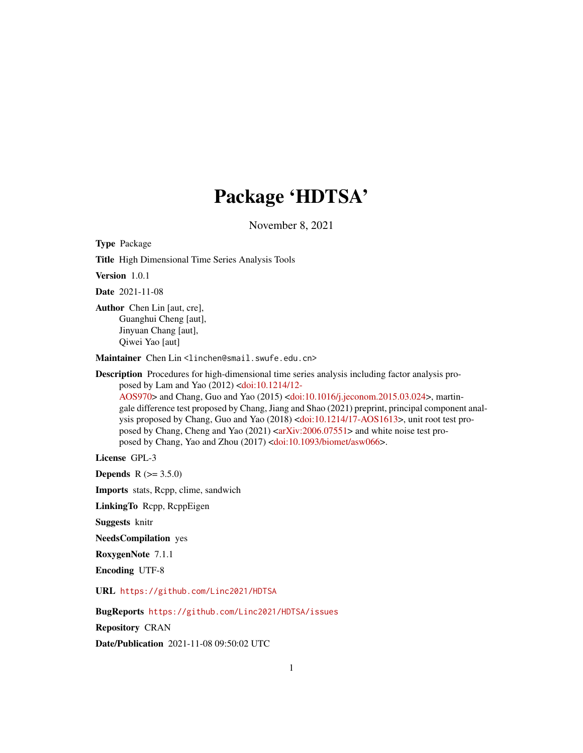## Package 'HDTSA'

November 8, 2021

Type Package

Title High Dimensional Time Series Analysis Tools

Version 1.0.1

Date 2021-11-08

Author Chen Lin [aut, cre], Guanghui Cheng [aut], Jinyuan Chang [aut], Qiwei Yao [aut]

Maintainer Chen Lin <linchen@smail.swufe.edu.cn>

Description Procedures for high-dimensional time series analysis including factor analysis proposed by Lam and Yao (2012) [<doi:10.1214/12-](https://doi.org/10.1214/12-AOS970) [AOS970>](https://doi.org/10.1214/12-AOS970) and Chang, Guo and Yao (2015) [<doi:10.1016/j.jeconom.2015.03.024>](https://doi.org/10.1016/j.jeconom.2015.03.024), martingale difference test proposed by Chang, Jiang and Shao (2021) preprint, principal component analysis proposed by Chang, Guo and Yao (2018) [<doi:10.1214/17-AOS1613>](https://doi.org/10.1214/17-AOS1613), unit root test proposed by Chang, Cheng and Yao  $(2021)$  [<arXiv:2006.07551>](https://arxiv.org/abs/2006.07551) and white noise test proposed by Chang, Yao and Zhou (2017) [<doi:10.1093/biomet/asw066>](https://doi.org/10.1093/biomet/asw066).

License GPL-3

**Depends**  $R (= 3.5.0)$ 

Imports stats, Rcpp, clime, sandwich

LinkingTo Rcpp, RcppEigen

Suggests knitr

NeedsCompilation yes

RoxygenNote 7.1.1

Encoding UTF-8

URL <https://github.com/Linc2021/HDTSA>

BugReports <https://github.com/Linc2021/HDTSA/issues>

Repository CRAN

Date/Publication 2021-11-08 09:50:02 UTC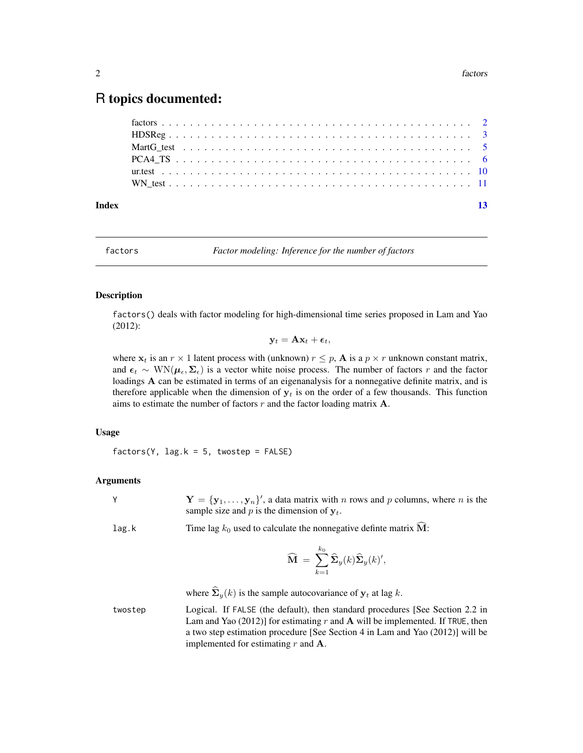### <span id="page-1-0"></span>R topics documented:

| Index |  |  |  |  |  |  |  |  |  |  |  |  |  |  |  |  |  |  | $\overline{13}$ |
|-------|--|--|--|--|--|--|--|--|--|--|--|--|--|--|--|--|--|--|-----------------|
|       |  |  |  |  |  |  |  |  |  |  |  |  |  |  |  |  |  |  |                 |
|       |  |  |  |  |  |  |  |  |  |  |  |  |  |  |  |  |  |  |                 |
|       |  |  |  |  |  |  |  |  |  |  |  |  |  |  |  |  |  |  |                 |
|       |  |  |  |  |  |  |  |  |  |  |  |  |  |  |  |  |  |  |                 |
|       |  |  |  |  |  |  |  |  |  |  |  |  |  |  |  |  |  |  |                 |
|       |  |  |  |  |  |  |  |  |  |  |  |  |  |  |  |  |  |  |                 |

<span id="page-1-1"></span>factors *Factor modeling: Inference for the number of factors*

#### Description

factors() deals with factor modeling for high-dimensional time series proposed in Lam and Yao (2012):

$$
\mathbf{y}_t = \mathbf{A}\mathbf{x}_t + \boldsymbol{\epsilon}_t,
$$

where  $x_t$  is an  $r \times 1$  latent process with (unknown)  $r \leq p$ , **A** is a  $p \times r$  unknown constant matrix, and  $\epsilon_t \sim \text{WN}(\mu_{\epsilon}, \Sigma_{\epsilon})$  is a vector white noise process. The number of factors r and the factor loadings A can be estimated in terms of an eigenanalysis for a nonnegative definite matrix, and is therefore applicable when the dimension of  $y_t$  is on the order of a few thousands. This function aims to estimate the number of factors  $r$  and the factor loading matrix  $A$ .

#### Usage

 $factors(Y, lag.k = 5, twostep = FALSE)$ 

#### Arguments

| $\mathbf{Y} = {\mathbf{y}_1, \dots, \mathbf{y}_n}$ , a data matrix with <i>n</i> rows and <i>p</i> columns, where <i>n</i> is the |
|-----------------------------------------------------------------------------------------------------------------------------------|
| sample size and p is the dimension of $v_t$ .                                                                                     |

#### lag.k Time lag  $k_0$  used to calculate the nonnegative definite matrix  $\widehat{M}$ :

$$
\widehat{\mathbf{M}} = \sum_{k=1}^{k_0} \widehat{\mathbf{\Sigma}}_y(k) \widehat{\mathbf{\Sigma}}_y(k)',
$$

where  $\hat{\Sigma}_y(k)$  is the sample autocovariance of  $y_t$  at lag k.

twostep Logical. If FALSE (the default), then standard procedures [See Section 2.2 in Lam and Yao (2012)] for estimating r and A will be implemented. If TRUE, then a two step estimation procedure [See Section 4 in Lam and Yao (2012)] will be implemented for estimating  $r$  and  $A$ .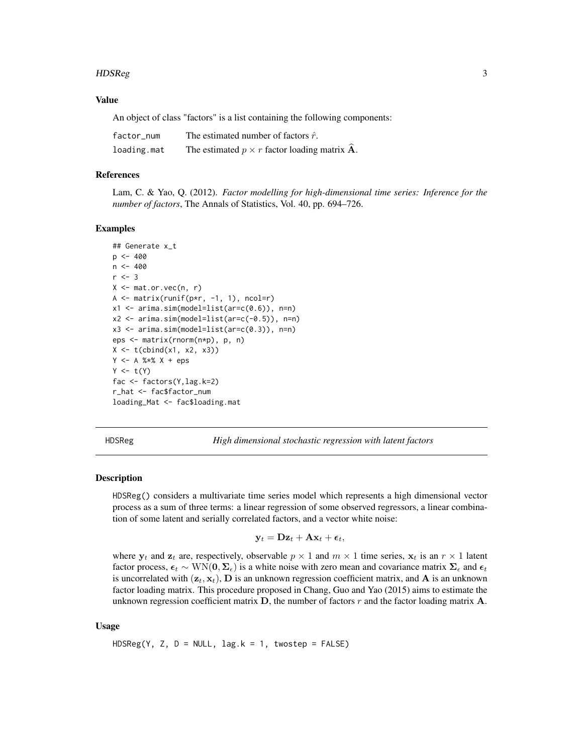#### <span id="page-2-0"></span>HDSReg 3

#### Value

An object of class "factors" is a list containing the following components:

| factor num  | The estimated number of factors $\hat{r}$ .                 |
|-------------|-------------------------------------------------------------|
| loading.mat | The estimated $p \times r$ factor loading matrix <b>A</b> . |

#### References

Lam, C. & Yao, Q. (2012). *Factor modelling for high-dimensional time series: Inference for the number of factors*, The Annals of Statistics, Vol. 40, pp. 694–726.

#### Examples

```
## Generate x_t
p \le -400n < -400r <- 3
X \leq - mat.or.vec(n, r)
A \leq matrix(runif(p*r, -1, 1), ncol=r)
x1 \leftarrow \text{arima}.\text{sim}(\text{model=list}(\text{ar=c}(0.6)), \text{n=n})x2 \le -\arima.sim(model=list(ar=c(-0.5)), n=n)x3 <- arima.sim(model=list(ar=c(0.3)), n=n)
eps <- matrix(rnorm(n*p), p, n)
X \leftarrow t \left( \text{cbind}(x1, x2, x3) \right)Y <- A %*% X + eps
Y \leftarrow t(Y)fac <- factors(Y,lag.k=2)
r_hat <- fac$factor_num
loading_Mat <- fac$loading.mat
```
HDSReg *High dimensional stochastic regression with latent factors*

#### Description

HDSReg() considers a multivariate time series model which represents a high dimensional vector process as a sum of three terms: a linear regression of some observed regressors, a linear combination of some latent and serially correlated factors, and a vector white noise:

$$
\mathbf{y}_t = \mathbf{Dz}_t + \mathbf{A}\mathbf{x}_t + \boldsymbol{\epsilon}_t,
$$

where  $y_t$  and  $z_t$  are, respectively, observable  $p \times 1$  and  $m \times 1$  time series,  $x_t$  is an  $r \times 1$  latent factor process,  $\epsilon_t \sim \text{WN}(0, \Sigma_{\epsilon})$  is a white noise with zero mean and covariance matrix  $\Sigma_{\epsilon}$  and  $\epsilon_t$ is uncorrelated with  $(z_t, x_t)$ , **D** is an unknown regression coefficient matrix, and **A** is an unknown factor loading matrix. This procedure proposed in Chang, Guo and Yao (2015) aims to estimate the unknown regression coefficient matrix  $D$ , the number of factors r and the factor loading matrix  $A$ .

#### Usage

 $HDSReg(Y, Z, D = NULL, lag.k = 1, twostep = FALSE)$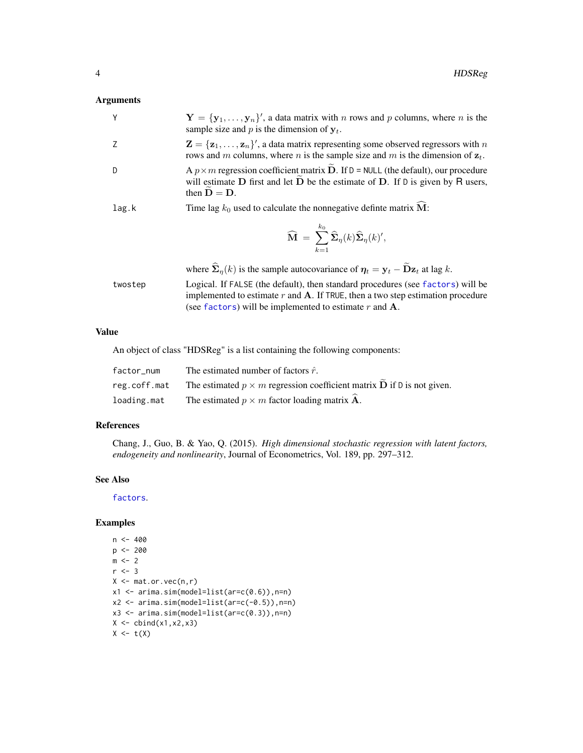#### <span id="page-3-0"></span>Arguments

| Y     | $\mathbf{Y} = {\mathbf{y}_1, \dots, \mathbf{y}_n}$ , a data matrix with <i>n</i> rows and <i>p</i> columns, where <i>n</i> is the<br>sample size and p is the dimension of $y_t$ .                                               |
|-------|----------------------------------------------------------------------------------------------------------------------------------------------------------------------------------------------------------------------------------|
|       | $\mathbf{Z} = {\mathbf{z}_1, \dots, \mathbf{z}_n}$ , a data matrix representing some observed regressors with n<br>rows and m columns, where n is the sample size and m is the dimension of $z_t$ .                              |
| D     | A $p \times m$ regression coefficient matrix $\widetilde{D}$ . If $D = \text{NULL}$ (the default), our procedure<br>will estimate $D$ first and let $D$ be the estimate of $D$ . If $D$ is given by $R$ users,<br>then $D = D$ . |
| lag.k | Time lag $k_0$ used to calculate the nonnegative definite matrix $\hat{M}$ :                                                                                                                                                     |
|       | $\widehat{\mathbf{M}} = \sum^{k_0} \widehat{\mathbf{\Sigma}}_{\eta}(k) \widehat{\mathbf{\Sigma}}_{\eta}(k)',$<br>$k=1$                                                                                                           |
|       | where $\hat{\Sigma}_n(k)$ is the sample autocovariance of $\eta_t = y_t - \tilde{D}z_t$ at lag k.                                                                                                                                |

twostep Logical. If FALSE (the default), then standard procedures (see [factors](#page-1-1)) will be implemented to estimate  $r$  and  $A$ . If TRUE, then a two step estimation procedure (see [factors](#page-1-1)) will be implemented to estimate  $r$  and  $A$ .

#### Value

An object of class "HDSReg" is a list containing the following components:

| factor num   | The estimated number of factors $\hat{r}$ .                                          |
|--------------|--------------------------------------------------------------------------------------|
| reg.coff.mat | The estimated $p \times m$ regression coefficient matrix <b>D</b> if D is not given. |
| loading.mat  | The estimated $p \times m$ factor loading matrix $\hat{A}$ .                         |

#### References

Chang, J., Guo, B. & Yao, Q. (2015). *High dimensional stochastic regression with latent factors, endogeneity and nonlinearity*, Journal of Econometrics, Vol. 189, pp. 297–312.

#### See Also

[factors](#page-1-1).

#### Examples

```
n < -400p <- 200
m \leq -2r < -3X \leftarrow \text{mat.or.vec}(n,r)x1 \leftarrow \text{arima}.\text{sim}(\text{model=list}(\text{ar=c}(0.6)), \text{n=n})x2 \le -\arima.sim(model=list(ar=c(-0.5)),n=n)x3 \le arima.sim(model=list(ar=c(0.3)), n=n)
X \leftarrow \text{cbind}(x1, x2, x3)X \leftarrow t(X)
```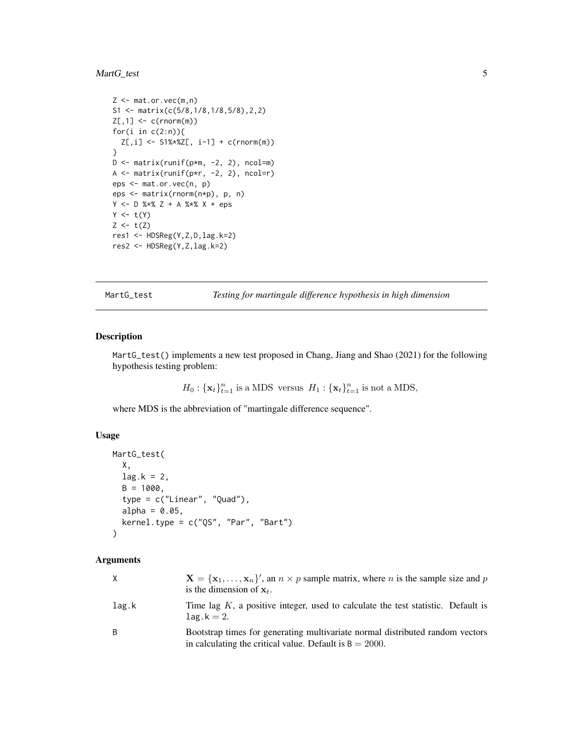#### <span id="page-4-0"></span>MartG\_test 5

```
Z \leftarrow \text{mat.or.vec}(m,n)S1 <- matrix(c(5/8,1/8,1/8,5/8),2,2)
Z[, 1] <- c(rnorm(m))
for(i in c(2:n)){
 Z[,i] <- S1%*%Z[, i-1] + c(rnorm(m))
}
D \le - matrix(runif(p*m, -2, 2), ncol=m)
A \leftarrow matrix(runif(p*r, -2, 2), ncol=r)eps <- mat.or.vec(n, p)
eps <- matrix(rnorm(n*p), p, n)
Y <- D %*% Z + A %*% X + eps
Y \leftarrow t(Y)Z \leftarrow t(Z)res1 <- HDSReg(Y,Z,D,lag.k=2)
res2 <- HDSReg(Y,Z,lag.k=2)
```
MartG\_test *Testing for martingale difference hypothesis in high dimension*

#### Description

MartG\_test() implements a new test proposed in Chang, Jiang and Shao (2021) for the following hypothesis testing problem:

 $H_0: {\mathbf{x}_t}_{t=1}^n$  is a MDS versus  $H_1: {\mathbf{x}_t}_{t=1}^n$  is not a MDS,

where MDS is the abbreviation of "martingale difference sequence".

#### Usage

```
MartG_test(
 X,
  lag.k = 2,B = 1000,
  type = c("Linear", "Quad"),
  alpha = 0.05,
  kernel.type = c("QS", "Par", "Bart")
)
```
#### Arguments

|       | $X = \{x_1, \ldots, x_n\}'$ , an $n \times p$ sample matrix, where <i>n</i> is the sample size and <i>p</i><br>is the dimension of $x_t$ .  |
|-------|---------------------------------------------------------------------------------------------------------------------------------------------|
| lag.k | Time lag $K$ , a positive integer, used to calculate the test statistic. Default is<br>$\texttt{lag.k} = 2.$                                |
| B.    | Bootstrap times for generating multivariate normal distributed random vectors<br>in calculating the critical value. Default is $B = 2000$ . |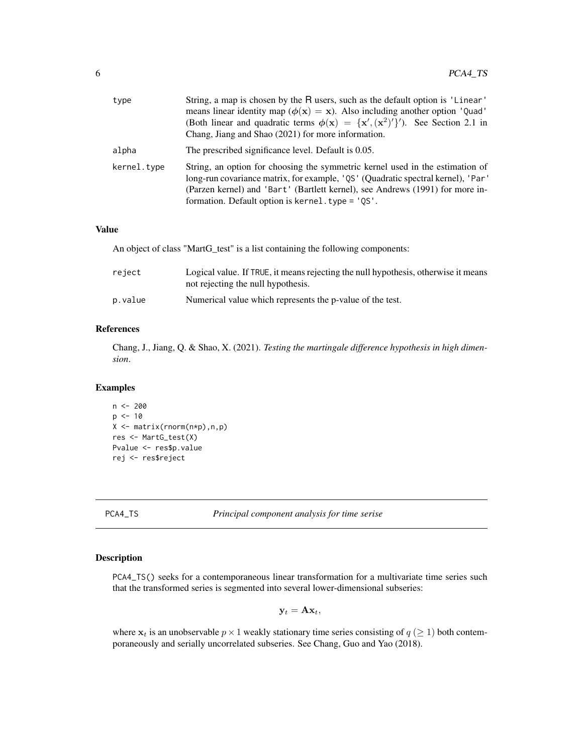<span id="page-5-0"></span>

| type        | String, a map is chosen by the R users, such as the default option is 'Linear'<br>means linear identity map ( $\phi(\mathbf{x}) = \mathbf{x}$ ). Also including another option 'Quad'<br>(Both linear and quadratic terms $\phi(\mathbf{x}) = {\mathbf{x}', (\mathbf{x}^2)'}$ ). See Section 2.1 in<br>Chang, Jiang and Shao (2021) for more information. |
|-------------|-----------------------------------------------------------------------------------------------------------------------------------------------------------------------------------------------------------------------------------------------------------------------------------------------------------------------------------------------------------|
| alpha       | The prescribed significance level. Default is 0.05.                                                                                                                                                                                                                                                                                                       |
| kernel.type | String, an option for choosing the symmetric kernel used in the estimation of<br>long-run covariance matrix, for example, 'QS' (Quadratic spectral kernel), 'Par'<br>(Parzen kernel) and 'Bart' (Bartlett kernel), see Andrews (1991) for more in-<br>formation. Default option is kernel. type = 'QS'.                                                   |

#### Value

An object of class "MartG\_test" is a list containing the following components:

| reject  | Logical value. If TRUE, it means rejecting the null hypothesis, otherwise it means<br>not rejecting the null hypothesis. |
|---------|--------------------------------------------------------------------------------------------------------------------------|
| p.value | Numerical value which represents the p-value of the test.                                                                |

#### References

Chang, J., Jiang, Q. & Shao, X. (2021). *Testing the martingale difference hypothesis in high dimension*.

#### Examples

```
n <- 200
p \le -10X <- matrix(rnorm(n*p),n,p)
res <- MartG_test(X)
Pvalue <- res$p.value
rej <- res$reject
```
<span id="page-5-1"></span>PCA4\_TS *Principal component analysis for time serise*

#### Description

PCA4\_TS() seeks for a contemporaneous linear transformation for a multivariate time series such that the transformed series is segmented into several lower-dimensional subseries:

$$
\mathbf{y}_t = \mathbf{A} \mathbf{x}_t,
$$

where  $x_t$  is an unobservable  $p \times 1$  weakly stationary time series consisting of  $q \ (\geq 1)$  both contemporaneously and serially uncorrelated subseries. See Chang, Guo and Yao (2018).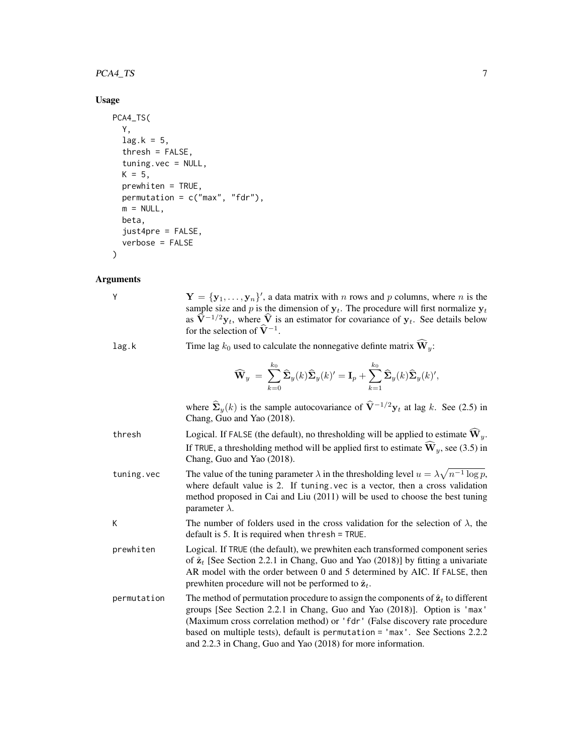#### PCA4\_TS 7

#### Usage

```
PCA4_TS(
  Y,
  lag.k = 5,thresh = FALSE,
  tuning.vec = NULL,
 K = 5,
  prewhiten = TRUE,
  permutation = c("max", "fdr"),m = NULL,beta,
  just4pre = FALSE,
  verbose = FALSE
)
```
#### Arguments

| Y           | $\mathbf{Y} = {\mathbf{y}_1, \dots, \mathbf{y}_n}$ , a data matrix with <i>n</i> rows and <i>p</i> columns, where <i>n</i> is the<br>sample size and p is the dimension of $y_t$ . The procedure will first normalize $y_t$<br>as $\hat{\mathbf{V}}^{-1/2}\mathbf{y}_t$ , where $\hat{\mathbf{V}}$ is an estimator for covariance of $\mathbf{y}_t$ . See details below<br>for the selection of $\hat{V}^{-1}$ . |
|-------------|------------------------------------------------------------------------------------------------------------------------------------------------------------------------------------------------------------------------------------------------------------------------------------------------------------------------------------------------------------------------------------------------------------------|
| lag.k       | Time lag $k_0$ used to calculate the nonnegative definte matrix $\widehat{W}_v$ :                                                                                                                                                                                                                                                                                                                                |
|             | $\widehat{\mathbf{W}}_y = \sum_{k=0}^{k_0} \widehat{\mathbf{\Sigma}}_y(k) \widehat{\mathbf{\Sigma}}_y(k)' = \mathbf{I}_p + \sum_{k=1}^{k_0} \widehat{\mathbf{\Sigma}}_y(k) \widehat{\mathbf{\Sigma}}_y(k)',$                                                                                                                                                                                                     |
|             | where $\hat{\Sigma}_y(k)$ is the sample autocovariance of $\hat{V}^{-1/2}y_t$ at lag k. See (2.5) in<br>Chang, Guo and Yao (2018).                                                                                                                                                                                                                                                                               |
| thresh      | Logical. If FALSE (the default), no thresholding will be applied to estimate $\hat{\mathbf{W}}_y$ .<br>If TRUE, a thresholding method will be applied first to estimate $\hat{\mathbf{W}}_y$ , see (3.5) in<br>Chang, Guo and Yao (2018).                                                                                                                                                                        |
| tuning.vec  | The value of the tuning parameter $\lambda$ in the thresholding level $u = \lambda \sqrt{n^{-1} \log p}$ ,<br>where default value is 2. If tuning vec is a vector, then a cross validation<br>method proposed in Cai and Liu (2011) will be used to choose the best tuning<br>parameter $\lambda$ .                                                                                                              |
| К           | The number of folders used in the cross validation for the selection of $\lambda$ , the<br>default is 5. It is required when thresh $=$ TRUE.                                                                                                                                                                                                                                                                    |
| prewhiten   | Logical. If TRUE (the default), we prewhiten each transformed component series<br>of $\hat{\mathbf{z}}_t$ [See Section 2.2.1 in Chang, Guo and Yao (2018)] by fitting a univariate<br>AR model with the order between 0 and 5 determined by AIC. If FALSE, then<br>prewhiten procedure will not be performed to $\hat{\mathbf{z}}_t$ .                                                                           |
| permutation | The method of permutation procedure to assign the components of $\hat{\mathbf{z}}_t$ to different<br>groups [See Section 2.2.1 in Chang, Guo and Yao (2018)]. Option is 'max'<br>(Maximum cross correlation method) or 'fdr' (False discovery rate procedure<br>based on multiple tests), default is permutation = 'max'. See Sections 2.2.2<br>and 2.2.3 in Chang, Guo and Yao (2018) for more information.     |

$$
\widehat{\mathbf{W}}_y ~=~ \sum_{k=0}^{k_0}\widehat{\mathbf{\Sigma}}_y(k)\widehat{\mathbf{\Sigma}}_y(k)' = \mathbf{I}_p + \sum_{k=1}^{k_0}\widehat{\mathbf{\Sigma}}_y(k)\widehat{\mathbf{\Sigma}}_y(k)'
$$

- thresholding will be applied to estimate  $\widehat{W}_y$ . If TRUE, a thresholding method will be applied first to estimate  $\widehat{W}_y$ , see (3.5) in Chang, Guo and Yao (2018).
- tuning.vec The value of the tuning parameter  $\lambda$  in the thresholding level  $u = \lambda \sqrt{n^{-1} \log p}$ , where default value is 2. If tuning.vec is a vector, then a cross validation method proposed in Cai and Liu (2011) will be used to choose the best tuning parameter  $\lambda$ .
- The number of folders used in the cross validation for the selection of  $\lambda$ , the default is 5. It is required when thresh = TRUE.
- prewhiten Logical. If TRUE (the default), we prewhiten each transformed component series of  $\hat{\mathbf{z}}_t$  [See Section 2.2.1 in Chang, Guo and Yao (2018)] by fitting a univariate AR model with the order between 0 and 5 determined by AIC. If FALSE, then prewhiten procedure will not be performed to  $\hat{\mathbf{z}}_t$ .
- cation The method of permutation procedure to assign the components of  $\hat{z}_t$  to different groups [See Section 2.2.1 in Chang, Guo and Yao (2018)]. Option is 'max' (Maximum cross correlation method) or 'fdr' (False discovery rate procedure based on multiple tests), default is permutation = 'max'. See Sections 2.2.2 and 2.2.3 in Chang, Guo and Yao (2018) for more information.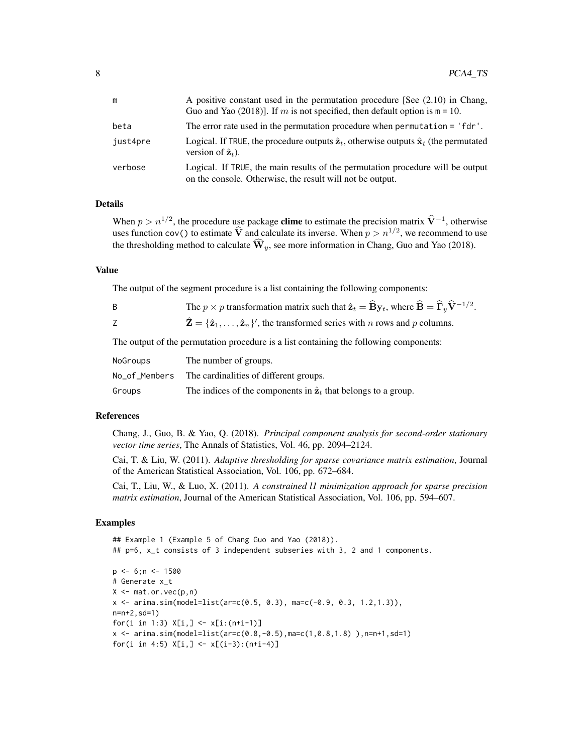.

| m        | A positive constant used in the permutation procedure [See $(2.10)$ in Chang,<br>Guo and Yao (2018)]. If m is not specified, then default option is $m = 10$ . |
|----------|----------------------------------------------------------------------------------------------------------------------------------------------------------------|
| beta     | The error rate used in the permutation procedure when permutation = 'fdr'.                                                                                     |
| just4pre | Logical. If TRUE, the procedure outputs $\hat{z}_t$ , otherwise outputs $\hat{x}_t$ (the permutated<br>version of $\hat{\mathbf{z}}_t$ ).                      |
| verbose  | Logical. If TRUE, the main results of the permutation procedure will be output<br>on the console. Otherwise, the result will not be output.                    |

#### Details

When  $p > n^{1/2}$ , the procedure use package **clime** to estimate the precision matrix  $\hat{V}^{-1}$ , otherwise uses function cov() to estimate  $\hat{V}$  and calculate its inverse. When  $p > n^{1/2}$ , we recommend to use the thresholding method to calculate  $\widehat{\mathbf{W}}_y$ , see more information in Chang, Guo and Yao (2018).

#### Value

The output of the segment procedure is a list containing the following components:

|  |  |  |  | The $p \times p$ transformation matrix such that $\hat{\mathbf{z}}_t = \hat{\mathbf{B}} \mathbf{y}_t$ , where $\hat{\mathbf{B}} = \hat{\mathbf{\Gamma}}_v \hat{\mathbf{V}}^{-1/2}$ |  |  |
|--|--|--|--|------------------------------------------------------------------------------------------------------------------------------------------------------------------------------------|--|--|
|  |  |  |  |                                                                                                                                                                                    |  |  |

Z  $\hat{\mathbf{Z}} = {\hat{\mathbf{z}}_1, \dots, \hat{\mathbf{z}}_n}$ , the transformed series with n rows and p columns.

The output of the permutation procedure is a list containing the following components:

| NoGroups      | The number of groups.                                                          |
|---------------|--------------------------------------------------------------------------------|
| No_of_Members | The cardinalities of different groups.                                         |
| Groups        | The indices of the components in $\hat{\mathbf{z}}_t$ that belongs to a group. |

#### References

Chang, J., Guo, B. & Yao, Q. (2018). *Principal component analysis for second-order stationary vector time series*, The Annals of Statistics, Vol. 46, pp. 2094–2124.

Cai, T. & Liu, W. (2011). *Adaptive thresholding for sparse covariance matrix estimation*, Journal of the American Statistical Association, Vol. 106, pp. 672–684.

Cai, T., Liu, W., & Luo, X. (2011). *A constrained l1 minimization approach for sparse precision matrix estimation*, Journal of the American Statistical Association, Vol. 106, pp. 594–607.

#### Examples

```
## Example 1 (Example 5 of Chang Guo and Yao (2018)).
## p=6, x_t consists of 3 independent subseries with 3, 2 and 1 components.
```

```
p \le -6; n \le -1500# Generate x_t
X \leq - mat.or.vec(p,n)
x \le -\arima.sim(model=list(ar=c(0.5, 0.3), mac(-0.9, 0.3, 1.2, 1.3)),n=n+2,sd=1)
for(i in 1:3) X[i, ] \leftarrow x[i:(n+i-1)]x \le -\arima.sim(model=list(ar=c(0.8,-0.5),ma=c(1,0.8,1.8)), n=n+1,sd=1)
for(i in 4:5) X[i, ] \leftarrow x[(i-3):(n+i-4)]
```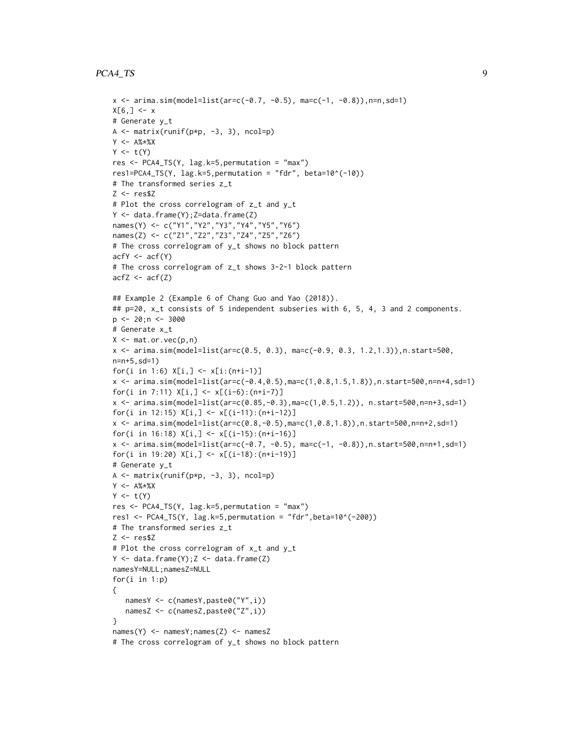#### PCA4\_TS 9

```
x \le -\arima.sim(model=list(ar=c(-0.7, -0.5), mac(-1, -0.8)),n=n,sd=1)X[6, ] < -x# Generate y_t
A \leftarrow \text{matrix}(\text{runif}(p*p, -3, 3), \text{ncol=p})Y <- A%*%X
Y \leftarrow t(Y)res <- PCA4_TS(Y, lag.k=5,permutation = "max")
res1=PCA4_TS(Y, lag.k=5,permutation = "fdr", beta=10^(-10))
# The transformed series z_t
7 < - res$7
# Plot the cross correlogram of z_t and y_t
Y \le - data.frame(Y); Z=data.frame(Z)names(Y) <- c("Y1","Y2","Y3","Y4","Y5","Y6")
names(Z) <- c("Z1","Z2","Z3","Z4","Z5","Z6")
# The cross correlogram of y_t shows no block pattern
acfY \leftarrow acf(Y)# The cross correlogram of z_t shows 3-2-1 block pattern
acfZ \leftarrow acf(Z)
## Example 2 (Example 6 of Chang Guo and Yao (2018)).
## p=20, x_t consists of 5 independent subseries with 6, 5, 4, 3 and 2 components.
p \le -20; n \le -3000# Generate x_t
X \leq - mat.or.vec(p,n)
x <- arima.sim(model=list(ar=c(0.5, 0.3), ma=c(-0.9, 0.3, 1.2,1.3)),n.start=500,
n=n+5,sd=1)
for(i in 1:6) X[i, ] \leftarrow x[i:(n+i-1)]x \leq -\arima.sim(model=list(ar=c(-0.4, 0.5), mac(1, 0.8, 1.5, 1.8)), n.start=500, n=n+4, sd=1)for(i in 7:11) X[i, ] \leftarrow x[(i-6):(n+i-7)]x <- arima.sim(model=list(ar=c(0.85,-0.3),ma=c(1,0.5,1.2)), n.start=500,n=n+3,sd=1)
for(i in 12:15) X[i, ] \leftarrow x[(i-11):(n+i-12)]x <- arima.sim(model=list(ar=c(0.8,-0.5),ma=c(1,0.8,1.8)),n.start=500,n=n+2,sd=1)
for(i in 16:18) X[i, ] \leftarrow x[(i-15):(n+i-16)]x <- arima.sim(model=list(ar=c(-0.7, -0.5), ma=c(-1, -0.8)),n.start=500,n=n+1,sd=1)
for(i in 19:20) X[i, ] \leftarrow x[(i-18):(n+i-19)]# Generate y_t
A \leftarrow matrix(runif(p*p, -3, 3), ncol=p)Y < - A\% * \%XY \leftarrow t(Y)res <- PCA4_TS(Y, lag.k=5,permutation = "max")
res1 <- PCA4_TS(Y, lag.k=5, permutation = "fdr", beta=10^(-200))
# The transformed series z_t
7 < - res$7
# Plot the cross correlogram of x_t and y_t
Y \leftarrow data.frame(Y); Z \leftarrow data.frame(Z)namesY=NULL;namesZ=NULL
for(i in 1:p)
{
   namesY <- c(namesY,paste0("Y",i))
   namesZ <- c(namesZ,paste0("Z",i))
}
names(Y) <- namesY;names(Z) <- namesZ
# The cross correlogram of y_t shows no block pattern
```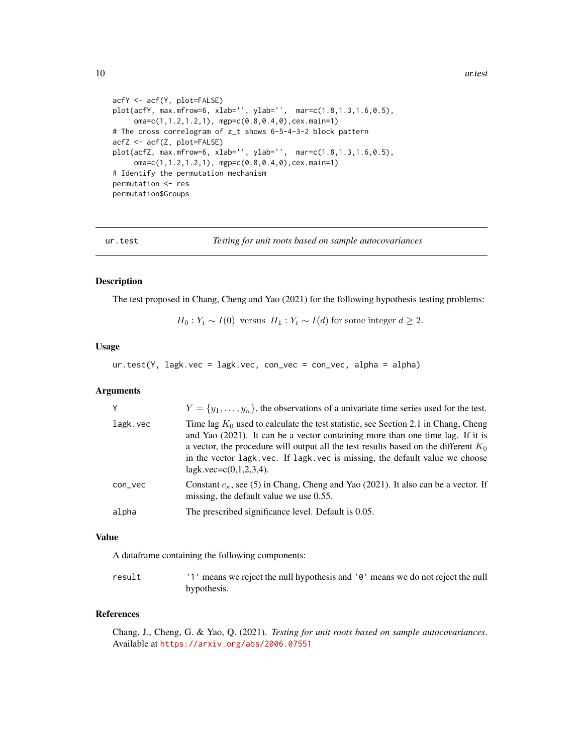10 ur.test

```
acfY <- acf(Y, plot=FALSE)
plot(acfY, max.mfrow=6, xlab='', ylab='', mar=c(1.8,1.3,1.6,0.5),
     oma=c(1,1.2,1.2,1), mgp=c(0.8,0.4,0),cex.main=1)
# The cross correlogram of z_t shows 6-5-4-3-2 block pattern
acfZ <- acf(Z, plot=FALSE)
plot(acfZ, max.mfrow=6, xlab='', ylab='', mar=c(1.8,1.3,1.6,0.5),
     oma=c(1,1.2,1.2,1), mgp=c(0.8,0.4,0),cex.main=1)
# Identify the permutation mechanism
permutation <- res
permutation$Groups
```
ur.test *Testing for unit roots based on sample autocovariances*

#### Description

The test proposed in Chang, Cheng and Yao (2021) for the following hypothesis testing problems:

 $H_0: Y_t \sim I(0)$  versus  $H_1: Y_t \sim I(d)$  for some integer  $d \geq 2$ .

#### Usage

ur.test(Y, lagk.vec = lagk.vec, con\_vec = con\_vec, alpha = alpha)

#### Arguments

|          | $Y = \{y_1, \ldots, y_n\}$ , the observations of a univariate time series used for the test.                                                                                                                                                                                                                                                                                   |
|----------|--------------------------------------------------------------------------------------------------------------------------------------------------------------------------------------------------------------------------------------------------------------------------------------------------------------------------------------------------------------------------------|
| lagk.vec | Time lag $K_0$ used to calculate the test statistic, see Section 2.1 in Chang, Cheng<br>and Yao (2021). It can be a vector containing more than one time lag. If it is<br>a vector, the procedure will output all the test results based on the different $K_0$<br>in the vector lagk, vec. If lagk, vec is missing, the default value we choose<br>lagk.vec= $c(0,1,2,3,4)$ . |
| con_vec  | Constant $c_{\kappa}$ , see (5) in Chang, Cheng and Yao (2021). It also can be a vector. If<br>missing, the default value we use 0.55.                                                                                                                                                                                                                                         |
| alpha    | The prescribed significance level. Default is 0.05.                                                                                                                                                                                                                                                                                                                            |

#### Value

A dataframe containing the following components:

result '1' means we reject the null hypothesis and '0' means we do not reject the null hypothesis.

#### References

Chang, J., Cheng, G. & Yao, Q. (2021). *Testing for unit roots based on sample autocovariances*. Available at <https://arxiv.org/abs/2006.07551>

<span id="page-9-0"></span>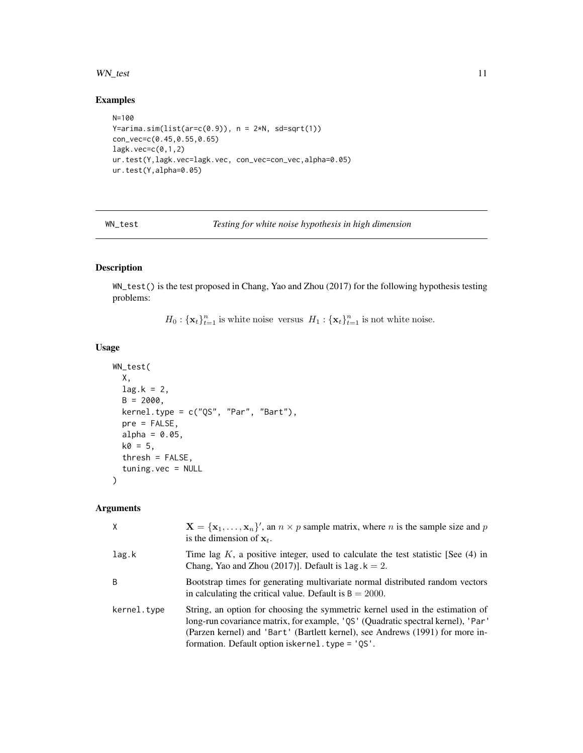#### <span id="page-10-0"></span>WN\_test 11

#### Examples

```
N=100
Y=arima.sim(list(ar=c(0.9)), n = 2*N, sd=sqrt(1))con_vec=c(0.45,0.55,0.65)
lagk.vec=c(0,1,2)
ur.test(Y,lagk.vec=lagk.vec, con_vec=con_vec,alpha=0.05)
ur.test(Y,alpha=0.05)
```
WN\_test *Testing for white noise hypothesis in high dimension*

#### Description

WN\_test() is the test proposed in Chang, Yao and Zhou (2017) for the following hypothesis testing problems:

 $H_0: {\{\mathbf{x}_t\}}_{t=1}^n$  is white noise versus  $H_1: {\{\mathbf{x}_t\}}_{t=1}^n$  is not white noise.

#### Usage

```
WN_test(
 X,
 lag.k = 2,B = 2000,kernel.type = c("QS", "Par", "Bart"),
 pre = FALSE,
 alpha = 0.05,
 k0 = 5,
 thresh = FALSE,tuning.vec = NULL
)
```
#### Arguments

| $\times$    | $X = \{x_1, \ldots, x_n\}'$ , an $n \times p$ sample matrix, where <i>n</i> is the sample size and <i>p</i><br>is the dimension of $x_t$ .                                                                                                                                                                 |
|-------------|------------------------------------------------------------------------------------------------------------------------------------------------------------------------------------------------------------------------------------------------------------------------------------------------------------|
| lag.k       | Time lag K, a positive integer, used to calculate the test statistic [See $(4)$ in<br>Chang, Yao and Zhou (2017)]. Default is $\text{lag. } k = 2$ .                                                                                                                                                       |
| B           | Bootstrap times for generating multivariate normal distributed random vectors<br>in calculating the critical value. Default is $B = 2000$ .                                                                                                                                                                |
| kernel.type | String, an option for choosing the symmetric kernel used in the estimation of<br>long-run covariance matrix, for example, 'QS' (Quadratic spectral kernel), 'Par'<br>(Parzen kernel) and 'Bart' (Bartlett kernel), see Andrews (1991) for more in-<br>formation. Default option is kernel. type = $'QS'$ . |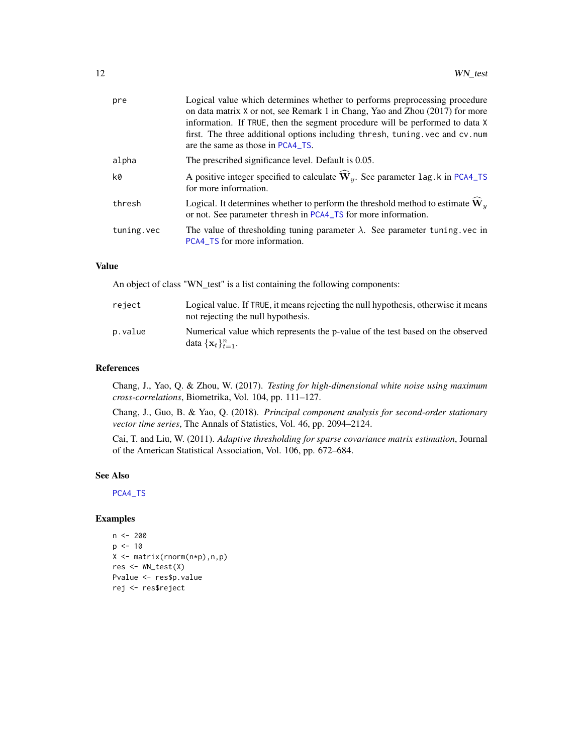<span id="page-11-0"></span>

| pre        | Logical value which determines whether to performs preprocessing procedure<br>on data matrix X or not, see Remark 1 in Chang, Yao and Zhou (2017) for more<br>information. If TRUE, then the segment procedure will be performed to data X<br>first. The three additional options including thresh, tuning vec and cv.num<br>are the same as those in PCA4_TS. |
|------------|----------------------------------------------------------------------------------------------------------------------------------------------------------------------------------------------------------------------------------------------------------------------------------------------------------------------------------------------------------------|
| alpha      | The prescribed significance level. Default is 0.05.                                                                                                                                                                                                                                                                                                            |
| k0         | A positive integer specified to calculate $\widehat{W}_v$ . See parameter lag. k in PCA4_TS<br>for more information.                                                                                                                                                                                                                                           |
| thresh     | Logical. It determines whether to perform the threshold method to estimate $W_y$<br>or not. See parameter thresh in PCA4_TS for more information.                                                                                                                                                                                                              |
| tuning.vec | The value of thresholding tuning parameter $\lambda$ . See parameter tuning vec in<br>PCA4_TS for more information.                                                                                                                                                                                                                                            |

#### Value

An object of class "WN\_test" is a list containing the following components:

| reject  | Logical value. If TRUE, it means rejecting the null hypothesis, otherwise it means<br>not rejecting the null hypothesis. |
|---------|--------------------------------------------------------------------------------------------------------------------------|
| p.value | Numerical value which represents the p-value of the test based on the observed<br>data $\{\mathbf x_t\}_{t=1}^n$ .       |

#### References

Chang, J., Yao, Q. & Zhou, W. (2017). *Testing for high-dimensional white noise using maximum cross-correlations*, Biometrika, Vol. 104, pp. 111–127.

Chang, J., Guo, B. & Yao, Q. (2018). *Principal component analysis for second-order stationary vector time series*, The Annals of Statistics, Vol. 46, pp. 2094–2124.

Cai, T. and Liu, W. (2011). *Adaptive thresholding for sparse covariance matrix estimation*, Journal of the American Statistical Association, Vol. 106, pp. 672–684.

#### See Also

[PCA4\\_TS](#page-5-1)

#### Examples

```
n <- 200
p <- 10
X <- matrix(rnorm(n*p),n,p)
res <- WN_test(X)
Pvalue <- res$p.value
rej <- res$reject
```